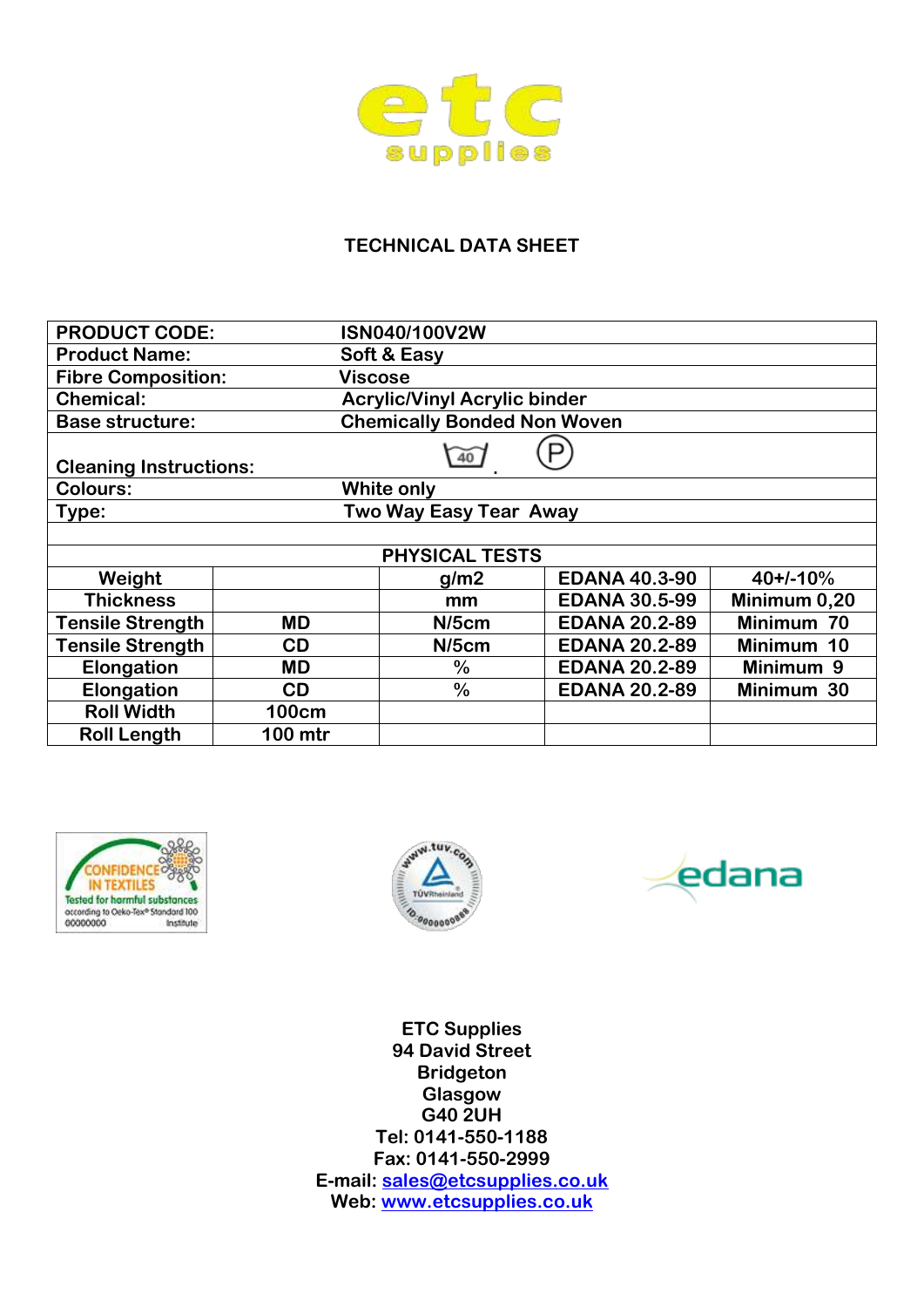

## **TECHNICAL DATA SHEET**

| <b>PRODUCT CODE:</b>                             |              | ISN040/100V2W                       |                      |              |  |  |
|--------------------------------------------------|--------------|-------------------------------------|----------------------|--------------|--|--|
| <b>Product Name:</b>                             |              | Soft & Easy                         |                      |              |  |  |
| <b>Fibre Composition:</b>                        |              | Viscose                             |                      |              |  |  |
| <b>Chemical:</b>                                 |              | <b>Acrylic/Vinyl Acrylic binder</b> |                      |              |  |  |
| <b>Base structure:</b>                           |              | <b>Chemically Bonded Non Woven</b>  |                      |              |  |  |
| $\overline{40}$<br><b>Cleaning Instructions:</b> |              |                                     |                      |              |  |  |
| <b>Colours:</b>                                  |              | White only                          |                      |              |  |  |
| Two Way Easy Tear Away<br>Type:                  |              |                                     |                      |              |  |  |
|                                                  |              |                                     |                      |              |  |  |
| <b>PHYSICAL TESTS</b>                            |              |                                     |                      |              |  |  |
| Weight                                           |              | g/m2                                | <b>EDANA 40.3-90</b> | $40+/-10%$   |  |  |
| <b>Thickness</b>                                 |              | mm                                  | <b>EDANA 30.5-99</b> | Minimum 0,20 |  |  |
| <b>Tensile Strength</b>                          | <b>MD</b>    | $N/5$ cm                            | <b>EDANA 20.2-89</b> | Minimum 70   |  |  |
| <b>Tensile Strength</b>                          | CD           | $N/5$ cm                            | <b>EDANA 20.2-89</b> | Minimum 10   |  |  |
| Elongation                                       | <b>MD</b>    | $\%$                                | <b>EDANA 20.2-89</b> | Minimum 9    |  |  |
| Elongation                                       | CD           | $\frac{0}{0}$                       | <b>EDANA 20.2-89</b> | Minimum 30   |  |  |
| <b>Roll Width</b>                                | <b>100cm</b> |                                     |                      |              |  |  |
| <b>Roll Length</b>                               | 100 mtr      |                                     |                      |              |  |  |







**ETC Supplies 94 David Street Bridgeton Glasgow G40 2UH Tel: 0141-550-1188 Fax: 0141-550-2999 E-mail: [sales@etcsupplies.co.uk](mailto:sales@etcsupplies.co.uk) Web: [www.etcsupplies.co.uk](http://www.etcsupplies.co.uk/)**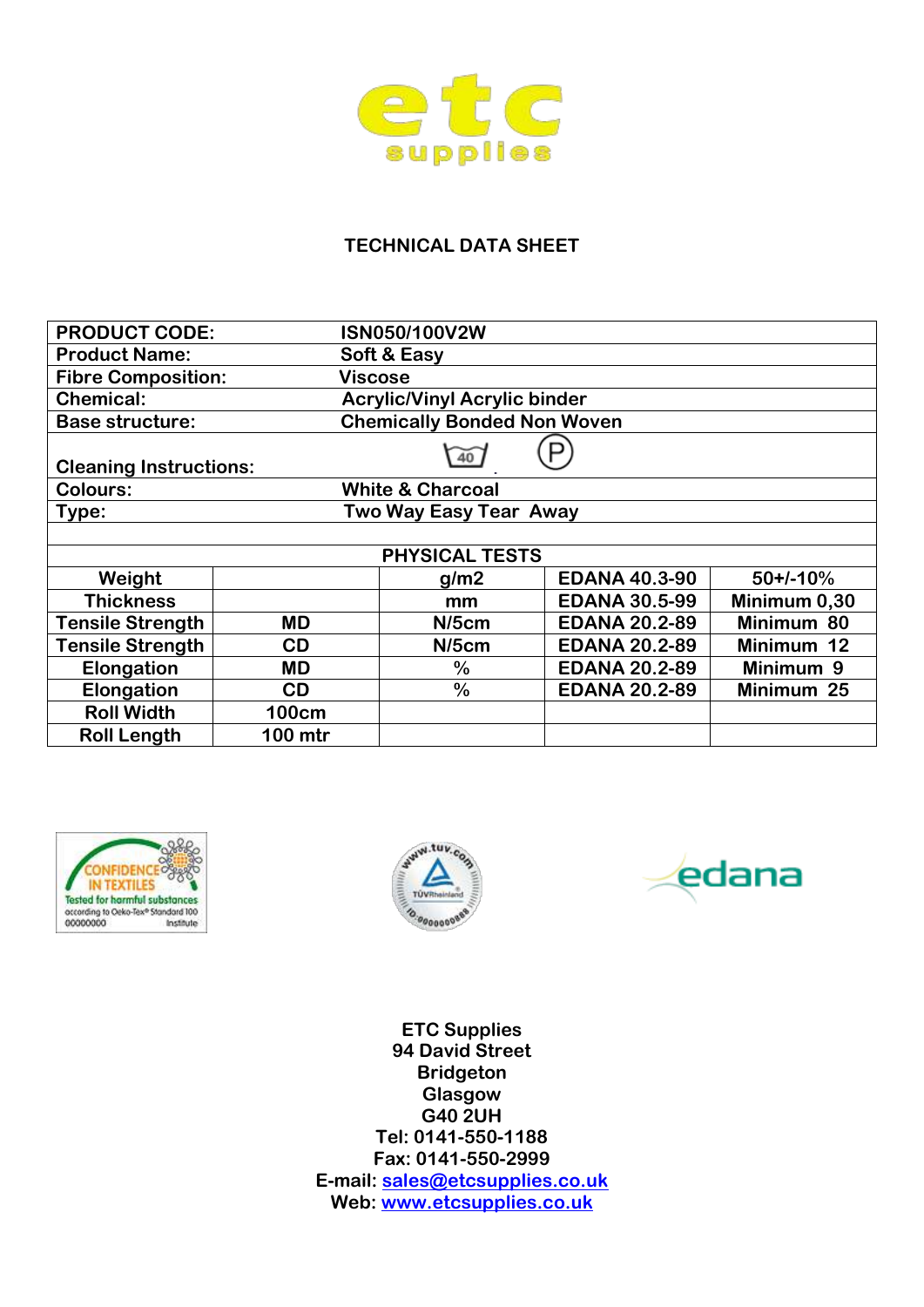

## **TECHNICAL DATA SHEET**

| <b>PRODUCT CODE:</b>                   |              | ISN050/100V2W                       |                      |              |  |  |
|----------------------------------------|--------------|-------------------------------------|----------------------|--------------|--|--|
| <b>Product Name:</b>                   |              | Soft & Easy                         |                      |              |  |  |
| <b>Fibre Composition:</b>              |              | <b>Viscose</b>                      |                      |              |  |  |
| <b>Chemical:</b>                       |              | <b>Acrylic/Vinyl Acrylic binder</b> |                      |              |  |  |
| <b>Base structure:</b>                 |              | <b>Chemically Bonded Non Woven</b>  |                      |              |  |  |
| 40<br><b>Cleaning Instructions:</b>    |              |                                     |                      |              |  |  |
| <b>Colours:</b>                        |              | <b>White &amp; Charcoal</b>         |                      |              |  |  |
| <b>Two Way Easy Tear Away</b><br>Type: |              |                                     |                      |              |  |  |
|                                        |              |                                     |                      |              |  |  |
| <b>PHYSICAL TESTS</b>                  |              |                                     |                      |              |  |  |
| Weight                                 |              | g/m2                                | <b>EDANA 40.3-90</b> | $50+/-10%$   |  |  |
| <b>Thickness</b>                       |              | mm                                  | <b>EDANA 30.5-99</b> | Minimum 0,30 |  |  |
| <b>Tensile Strength</b>                | <b>MD</b>    | $N/5$ cm                            | <b>EDANA 20.2-89</b> | Minimum 80   |  |  |
| <b>Tensile Strength</b>                | <b>CD</b>    | $N/5$ cm                            | <b>EDANA 20.2-89</b> | Minimum 12   |  |  |
| Elongation                             | <b>MD</b>    | $\%$                                | <b>EDANA 20.2-89</b> | Minimum 9    |  |  |
| Elongation                             | <b>CD</b>    | $\frac{0}{0}$                       | <b>EDANA 20.2-89</b> | Minimum 25   |  |  |
| <b>Roll Width</b>                      | <b>100cm</b> |                                     |                      |              |  |  |
| <b>Roll Length</b>                     | 100 mtr      |                                     |                      |              |  |  |







**ETC Supplies 94 David Street Bridgeton Glasgow G40 2UH Tel: 0141-550-1188 Fax: 0141-550-2999 E-mail: [sales@etcsupplies.co.uk](mailto:sales@etcsupplies.co.uk) Web: [www.etcsupplies.co.uk](http://www.etcsupplies.co.uk/)**